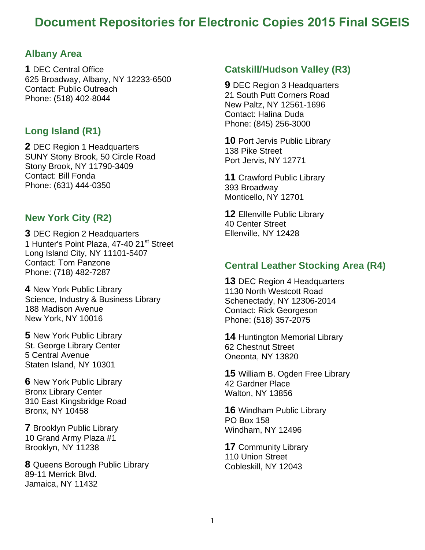# **Document Repositories for Electronic Copies 2015 Final SGEIS**

### **Albany Area**

**1** DEC Central Office 625 Broadway, Albany, NY 12233-6500 Contact: Public Outreach Phone: (518) 402-8044

### **Long Island (R1)**

**2** DEC Region 1 Headquarters SUNY Stony Brook, 50 Circle Road Stony Brook, NY 11790-3409 Contact: Bill Fonda Phone: (631) 444-0350

### **New York City (R2)**

**3** DEC Region 2 Headquarters 1 Hunter's Point Plaza, 47-40 21<sup>st</sup> Street Long Island City, NY 11101-5407 Contact: Tom Panzone Phone: (718) 482-7287

**4** New York Public Library Science, Industry & Business Library 188 Madison Avenue New York, NY 10016

**5** New York Public Library St. George Library Center 5 Central Avenue Staten Island, NY 10301

**6** New York Public Library Bronx Library Center 310 East Kingsbridge Road Bronx, NY 10458

**7** Brooklyn Public Library 10 Grand Army Plaza #1 Brooklyn, NY 11238

**8** Queens Borough Public Library 89-11 Merrick Blvd. Jamaica, NY 11432

### **Catskill/Hudson Valley (R3)**

**9** DEC Region 3 Headquarters 21 South Putt Corners Road New Paltz, NY 12561-1696 Contact: Halina Duda Phone: (845) 256-3000

**10** Port Jervis Public Library 138 Pike Street Port Jervis, NY 12771

**11** Crawford Public Library 393 Broadway Monticello, NY 12701

**12** Ellenville Public Library 40 Center Street Ellenville, NY 12428

### **Central Leather Stocking Area (R4)**

**13** DEC Region 4 Headquarters 1130 North Westcott Road Schenectady, NY 12306-2014 Contact: Rick Georgeson Phone: (518) 357-2075

**14** Huntington Memorial Library 62 Chestnut Street Oneonta, NY 13820

**15** William B. Ogden Free Library 42 Gardner Place Walton, NY 13856

 Windham, NY 12496 **16** Windham Public Library PO Box 158

**17** Community Library 110 Union Street Cobleskill, NY 12043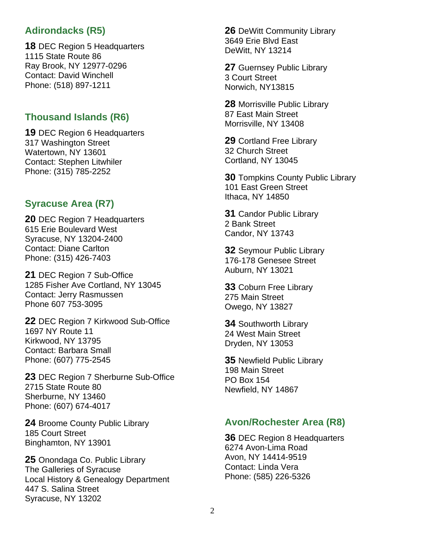# **Adirondacks (R5)**

**18** DEC Region 5 Headquarters 1115 State Route 86 Ray Brook, NY 12977-0296 Contact: David Winchell Phone: (518) 897-1211

## **Thousand Islands (R6)**

**19** DEC Region 6 Headquarters 317 Washington Street Watertown, NY 13601 Contact: Stephen Litwhiler Phone: (315) 785-2252

### **Syracuse Area (R7)**

**20** DEC Region 7 Headquarters 615 Erie Boulevard West Syracuse, NY 13204-2400 Contact: Diane Carlton Phone: (315) 426-7403

**21** DEC Region 7 Sub-Office 1285 Fisher Ave Cortland, NY 13045 Contact: Jerry Rasmussen Phone 607 753-3095

**22** DEC Region 7 Kirkwood Sub-Office 1697 NY Route 11 Kirkwood, NY 13795 Contact: Barbara Small Phone: (607) 775-2545

**23** DEC Region 7 Sherburne Sub-Office 2715 State Route 80 Sherburne, NY 13460 Phone: (607) 674-4017

**24** Broome County Public Library 185 Court Street Binghamton, NY 13901

**25** Onondaga Co. Public Library The Galleries of Syracuse Local History & Genealogy Department 447 S. Salina Street Syracuse, NY 13202

**26** DeWitt Community Library 3649 Erie Blvd East DeWitt, NY 13214

**27** Guernsey Public Library 3 Court Street Norwich, NY13815

**28** Morrisville Public Library 87 East Main Street Morrisville, NY 13408

**29** Cortland Free Library 32 Church Street Cortland, NY 13045

**30** Tompkins County Public Library 101 East Green Street Ithaca, NY 14850

**31** Candor Public Library 2 Bank Street Candor, NY 13743

**32** Seymour Public Library 176-178 Genesee Street Auburn, NY 13021

**33** Coburn Free Library 275 Main Street Owego, NY 13827

**34** Southworth Library 24 West Main Street Dryden, NY 13053

**35** Newfield Public Library 198 Main Street PO Box 154 Newfield, NY 14867

### **Avon/Rochester Area (R8)**

**36** DEC Region 8 Headquarters 6274 Avon-Lima Road Avon, NY 14414-9519 Contact: Linda Vera Phone: (585) 226-5326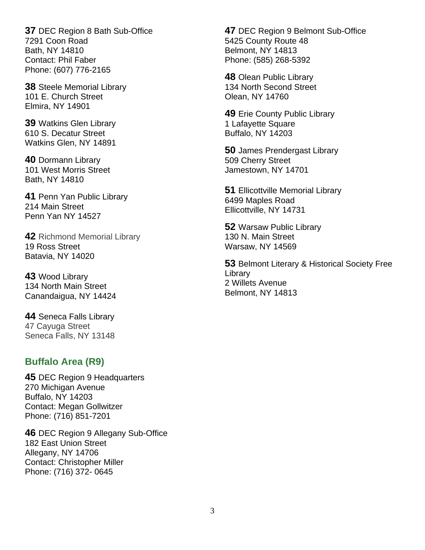**37** DEC Region 8 Bath Sub-Office 7291 Coon Road Bath, NY 14810 Contact: Phil Faber Phone: (607) 776-2165

**38** Steele Memorial Library 101 E. Church Street Elmira, NY 14901

**39** Watkins Glen Library 610 S. Decatur Street Watkins Glen, NY 14891

**40** Dormann Library 101 West Morris Street Bath, NY 14810

**41** Penn Yan Public Library 214 Main Street Penn Yan NY 14527

**42** Richmond Memorial Library 19 Ross Street Batavia, NY 14020

**43** Wood Library 134 North Main Street Canandaigua, NY 14424

**44** Seneca Falls Library 47 Cayuga Street Seneca Falls, NY 13148

### **Buffalo Area (R9)**

**45** DEC Region 9 Headquarters 270 Michigan Avenue Buffalo, NY 14203 Contact: Megan Gollwitzer Phone: (716) 851-7201

**46** DEC Region 9 Allegany Sub-Office 182 East Union Street Allegany, NY 14706 Contact: Christopher Miller Phone: (716) 372- 0645

**47** DEC Region 9 Belmont Sub-Office 5425 County Route 48 Belmont, NY 14813 Phone: (585) 268-5392

**48** Olean Public Library 134 North Second Street Olean, NY 14760

**49** Erie County Public Library 1 Lafayette Square Buffalo, NY 14203

**50** James Prendergast Library 509 Cherry Street Jamestown, NY 14701

**51** Ellicottville Memorial Library 6499 Maples Road Ellicottville, NY 14731

**52** Warsaw Public Library 130 N. Main Street Warsaw, NY 14569

**53** Belmont Literary & Historical Society Free Library 2 Willets Avenue Belmont, NY 14813